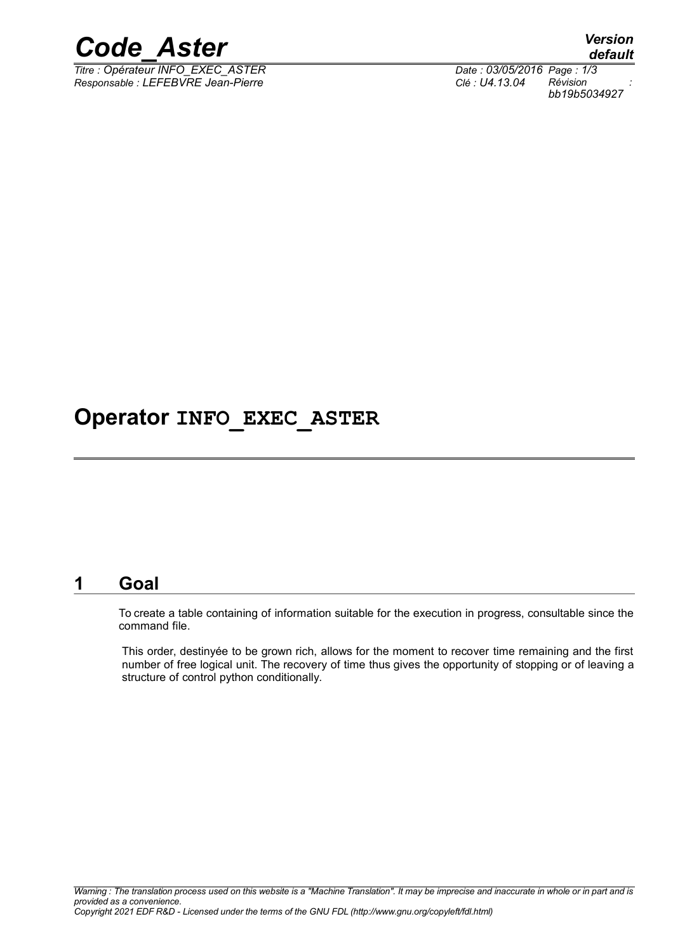

*Titre : Opérateur INFO\_EXEC\_ASTER Date : 03/05/2016 Page : 1/3 Responsable : LEFEBVRE Jean-Pierre Clé : U4.13.04 Révision :*

*default bb19b5034927*

## **Operator INFO\_EXEC\_ASTER**

#### **1 Goal**

To create a table containing of information suitable for the execution in progress, consultable since the command file.

This order, destinyée to be grown rich, allows for the moment to recover time remaining and the first number of free logical unit. The recovery of time thus gives the opportunity of stopping or of leaving a structure of control python conditionally.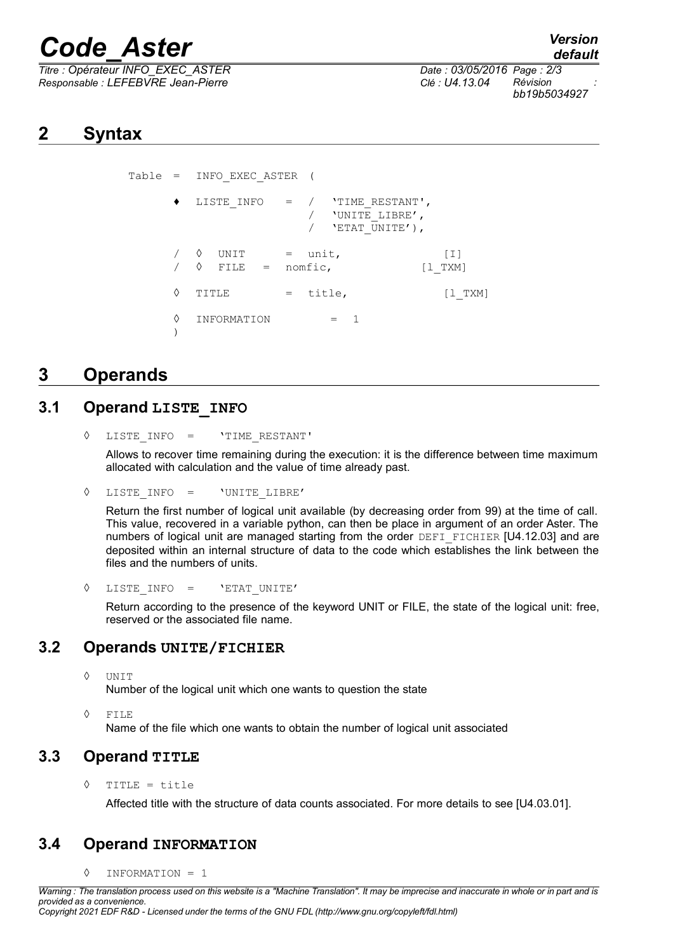# *Code\_Aster Version*

*Titre : Opérateur INFO\_EXEC\_ASTER Date : 03/05/2016 Page : 2/3 Responsable : LEFEBVRE Jean-Pierre Clé : U4.13.04 Révision :*

*bb19b5034927*

## **2 Syntax**

```
Table = INFO_EXEC_ASTER (
        LISTE INFO = / 'TIME RESTANT',
                     \overline{V} 'UNITE LIBRE',
                     / 'ETAT UNITE'),
     \sqrt{ } UNIT = unit, [I]
     \sqrt{6} FILE = nomfic, [1 TXM]
     \Diamond TITLE = title, [1 TXM]◊ INFORMATION = 1
     )
```
## **3 Operands**

#### **3.1 Operand LISTE\_INFO**

Allows to recover time remaining during the execution: it is the difference between time maximum allocated with calculation and the value of time already past.

```
◊ LISTE_INFO = 'UNITE_LIBRE'
```
Return the first number of logical unit available (by decreasing order from 99) at the time of call. This value, recovered in a variable python, can then be place in argument of an order Aster. The numbers of logical unit are managed starting from the order DEFI\_FICHIER [U4.12.03] and are deposited within an internal structure of data to the code which establishes the link between the files and the numbers of units.

```
◊ LISTE_INFO = 'ETAT_UNITE'
```
Return according to the presence of the keyword UNIT or FILE, the state of the logical unit: free, reserved or the associated file name.

### **3.2 Operands UNITE/FICHIER**

◊ UNIT

Number of the logical unit which one wants to question the state

◊ FILE

Name of the file which one wants to obtain the number of logical unit associated

### **3.3 Operand TITLE**

◊ TITLE = title

Affected title with the structure of data counts associated. For more details to see [U4.03.01].

### **3.4 Operand INFORMATION**

◊ INFORMATION = 1

<sup>◊</sup> LISTE\_INFO = 'TIME\_RESTANT'

*Warning : The translation process used on this website is a "Machine Translation". It may be imprecise and inaccurate in whole or in part and is provided as a convenience.*